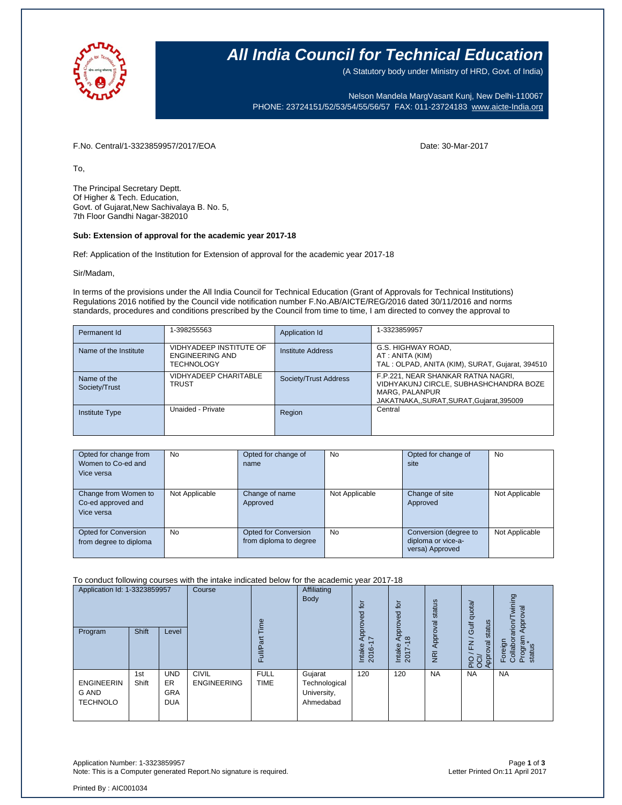

## **All India Council for Technical Education**

(A Statutory body under Ministry of HRD, Govt. of India)

Nelson Mandela MargVasant Kunj, New Delhi-110067 PHONE: 23724151/52/53/54/55/56/57 FAX: 011-23724183 [www.aicte-India.org](http://www.aicte-india.org/)

F.No. Central/1-3323859957/2017/EOA Date: 30-Mar-2017

To,

The Principal Secretary Deptt. Of Higher & Tech. Education, Govt. of Gujarat,New Sachivalaya B. No. 5, 7th Floor Gandhi Nagar-382010

#### **Sub: Extension of approval for the academic year 2017-18**

Ref: Application of the Institution for Extension of approval for the academic year 2017-18

Sir/Madam,

In terms of the provisions under the All India Council for Technical Education (Grant of Approvals for Technical Institutions) Regulations 2016 notified by the Council vide notification number F.No.AB/AICTE/REG/2016 dated 30/11/2016 and norms standards, procedures and conditions prescribed by the Council from time to time, I am directed to convey the approval to

| Permanent Id                 | 1-398255563                                                     | Application Id        | 1-3323859957                                                                                                                            |
|------------------------------|-----------------------------------------------------------------|-----------------------|-----------------------------------------------------------------------------------------------------------------------------------------|
| Name of the Institute        | VIDHYADEEP INSTITUTE OF<br>ENGINEERING AND<br><b>TECHNOLOGY</b> | Institute Address     | G.S. HIGHWAY ROAD,<br>AT : ANITA (KIM)<br>TAL: OLPAD, ANITA (KIM), SURAT, Gujarat, 394510                                               |
| Name of the<br>Society/Trust | VIDHYADEEP CHARITABLE<br><b>TRUST</b>                           | Society/Trust Address | F.P.221, NEAR SHANKAR RATNA NAGRI,<br>VIDHYAKUNJ CIRCLE, SUBHASHCHANDRA BOZE<br>MARG. PALANPUR<br>JAKATNAKA,,SURAT,SURAT,Gujarat,395009 |
| <b>Institute Type</b>        | Unaided - Private                                               | Region                | Central                                                                                                                                 |

| Opted for change from<br>Women to Co-ed and<br>Vice versa | No             | Opted for change of<br>name                    | No             | Opted for change of<br>site                                    | No             |
|-----------------------------------------------------------|----------------|------------------------------------------------|----------------|----------------------------------------------------------------|----------------|
| Change from Women to<br>Co-ed approved and<br>Vice versa  | Not Applicable | Change of name<br>Approved                     | Not Applicable | Change of site<br>Approved                                     | Not Applicable |
| Opted for Conversion<br>from degree to diploma            | No             | Opted for Conversion<br>from diploma to degree | No             | Conversion (degree to<br>diploma or vice-a-<br>versa) Approved | Not Applicable |

#### To conduct following courses with the intake indicated below for the academic year 2017-18

| Application Id: 1-3323859957<br>Program              | <b>Shift</b> | Level                                               | Course                             | ime<br>ౚ<br>Full           | Affiliating<br>Body                                  | $\overline{5}$<br>8<br>Appro <sup>,</sup><br>$\overline{\phantom{a}}$<br>Intake<br>2016 | tor<br>Approved<br>$\frac{\infty}{2}$<br>Intake<br>2017- | status<br>NRI Approval | Gulf quota/<br>status<br>$\overline{\phantom{0}}$<br>$\overline{F}$<br>Approval<br>운항 | wining<br>Approval<br>Foreign<br>Collaborarion/T<br>Program<br>status |
|------------------------------------------------------|--------------|-----------------------------------------------------|------------------------------------|----------------------------|------------------------------------------------------|-----------------------------------------------------------------------------------------|----------------------------------------------------------|------------------------|---------------------------------------------------------------------------------------|-----------------------------------------------------------------------|
| <b>ENGINEERIN</b><br><b>G AND</b><br><b>TECHNOLO</b> | 1st<br>Shift | <b>UND</b><br><b>ER</b><br><b>GRA</b><br><b>DUA</b> | <b>CIVIL</b><br><b>ENGINEERING</b> | <b>FULL</b><br><b>TIME</b> | Gujarat<br>Technological<br>University,<br>Ahmedabad | 120                                                                                     | 120                                                      | <b>NA</b>              | <b>NA</b>                                                                             | <b>NA</b>                                                             |

Application Number: 1-3323859957 Page **1** of **3** Note: This is a Computer generated Report.No signature is required.

Printed By : AIC001034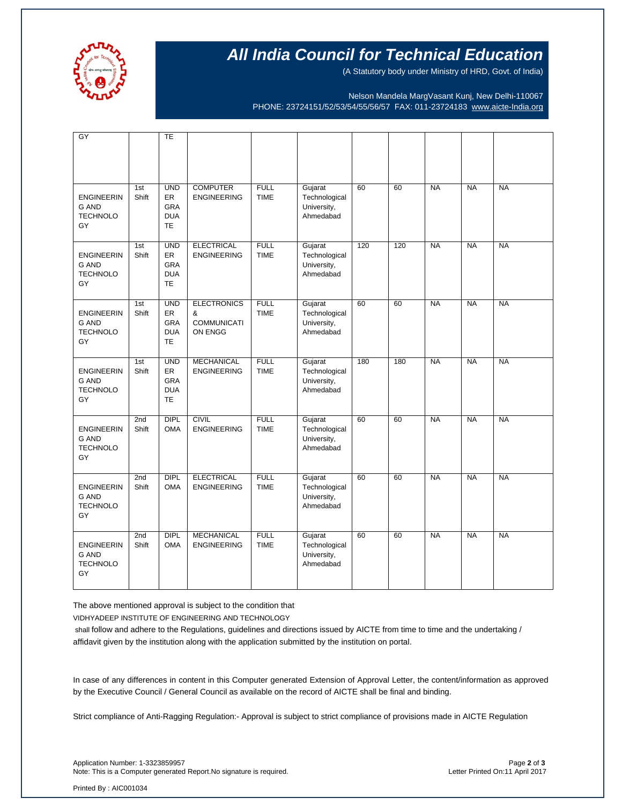

## **All India Council for Technical Education**

(A Statutory body under Ministry of HRD, Govt. of India)

Nelson Mandela MargVasant Kunj, New Delhi-110067 PHONE: 23724151/52/53/54/55/56/57 FAX: 011-23724183 [www.aicte-India.org](http://www.aicte-india.org/)

|                                                            |              | <b>TE</b>                                                        |                                                          |                            |                                                      |     |     |           |           |           |
|------------------------------------------------------------|--------------|------------------------------------------------------------------|----------------------------------------------------------|----------------------------|------------------------------------------------------|-----|-----|-----------|-----------|-----------|
| $\overline{GY}$                                            |              |                                                                  |                                                          |                            |                                                      |     |     |           |           |           |
| <b>ENGINEERIN</b><br><b>G AND</b><br><b>TECHNOLO</b><br>GY | 1st<br>Shift | <b>UND</b><br><b>ER</b><br><b>GRA</b><br><b>DUA</b><br><b>TE</b> | <b>COMPUTER</b><br><b>ENGINEERING</b>                    | <b>FULL</b><br><b>TIME</b> | Gujarat<br>Technological<br>University,<br>Ahmedabad | 60  | 60  | <b>NA</b> | <b>NA</b> | <b>NA</b> |
| <b>ENGINEERIN</b><br><b>G AND</b><br><b>TECHNOLO</b><br>GY | 1st<br>Shift | <b>UND</b><br>ER<br><b>GRA</b><br><b>DUA</b><br><b>TE</b>        | <b>ELECTRICAL</b><br><b>ENGINEERING</b>                  | <b>FULL</b><br><b>TIME</b> | Gujarat<br>Technological<br>University,<br>Ahmedabad | 120 | 120 | <b>NA</b> | <b>NA</b> | <b>NA</b> |
| <b>ENGINEERIN</b><br><b>G AND</b><br><b>TECHNOLO</b><br>GY | 1st<br>Shift | <b>UND</b><br>ER.<br><b>GRA</b><br><b>DUA</b><br><b>TE</b>       | <b>ELECTRONICS</b><br>&<br><b>COMMUNICATI</b><br>ON ENGG | <b>FULL</b><br><b>TIME</b> | Gujarat<br>Technological<br>University,<br>Ahmedabad | 60  | 60  | <b>NA</b> | <b>NA</b> | <b>NA</b> |
| <b>ENGINEERIN</b><br><b>G AND</b><br><b>TECHNOLO</b><br>GY | 1st<br>Shift | <b>UND</b><br><b>ER</b><br><b>GRA</b><br><b>DUA</b><br><b>TE</b> | <b>MECHANICAL</b><br><b>ENGINEERING</b>                  | <b>FULL</b><br><b>TIME</b> | Gujarat<br>Technological<br>University,<br>Ahmedabad | 180 | 180 | <b>NA</b> | <b>NA</b> | <b>NA</b> |
| <b>ENGINEERIN</b><br><b>G AND</b><br><b>TECHNOLO</b><br>GY | 2nd<br>Shift | <b>DIPL</b><br><b>OMA</b>                                        | <b>CIVIL</b><br><b>ENGINEERING</b>                       | <b>FULL</b><br><b>TIME</b> | Gujarat<br>Technological<br>University,<br>Ahmedabad | 60  | 60  | <b>NA</b> | <b>NA</b> | <b>NA</b> |
| <b>ENGINEERIN</b><br><b>G AND</b><br><b>TECHNOLO</b><br>GY | 2nd<br>Shift | <b>DIPL</b><br><b>OMA</b>                                        | <b>ELECTRICAL</b><br><b>ENGINEERING</b>                  | <b>FULL</b><br><b>TIME</b> | Gujarat<br>Technological<br>University,<br>Ahmedabad | 60  | 60  | <b>NA</b> | <b>NA</b> | <b>NA</b> |
| <b>ENGINEERIN</b><br><b>G AND</b><br><b>TECHNOLO</b><br>GY | 2nd<br>Shift | <b>DIPL</b><br><b>OMA</b>                                        | <b>MECHANICAL</b><br><b>ENGINEERING</b>                  | <b>FULL</b><br><b>TIME</b> | Gujarat<br>Technological<br>University,<br>Ahmedabad | 60  | 60  | <b>NA</b> | <b>NA</b> | <b>NA</b> |

The above mentioned approval is subject to the condition that

VIDHYADEEP INSTITUTE OF ENGINEERING AND TECHNOLOGY

shall follow and adhere to the Regulations, guidelines and directions issued by AICTE from time to time and the undertaking / affidavit given by the institution along with the application submitted by the institution on portal.

In case of any differences in content in this Computer generated Extension of Approval Letter, the content/information as approved by the Executive Council / General Council as available on the record of AICTE shall be final and binding.

Strict compliance of Anti-Ragging Regulation:- Approval is subject to strict compliance of provisions made in AICTE Regulation